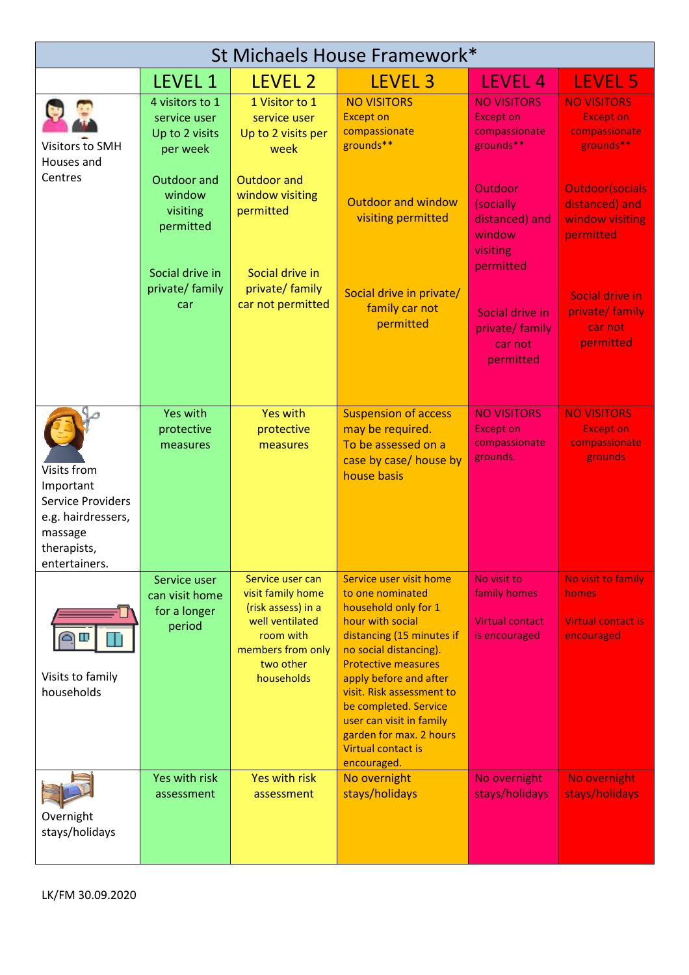| St Michaels House Framework*                                                                                          |                                                                   |                                                                                                                                             |                                                                                                                                                                                                                                                                                                                                                                 |                                                                           |                                                                           |  |  |  |
|-----------------------------------------------------------------------------------------------------------------------|-------------------------------------------------------------------|---------------------------------------------------------------------------------------------------------------------------------------------|-----------------------------------------------------------------------------------------------------------------------------------------------------------------------------------------------------------------------------------------------------------------------------------------------------------------------------------------------------------------|---------------------------------------------------------------------------|---------------------------------------------------------------------------|--|--|--|
|                                                                                                                       | <b>LEVEL 1</b>                                                    | <b>LEVEL 2</b>                                                                                                                              | LEVEL <sub>3</sub>                                                                                                                                                                                                                                                                                                                                              | LEVEL 4                                                                   | LEVEL 5                                                                   |  |  |  |
| Visitors to SMH<br>Houses and                                                                                         | 4 visitors to 1<br>service user<br>Up to 2 visits<br>per week     | 1 Visitor to 1<br>service user<br>Up to 2 visits per<br>week                                                                                | <b>NO VISITORS</b><br><b>Except on</b><br>compassionate<br>grounds**                                                                                                                                                                                                                                                                                            | <b>NO VISITORS</b><br><b>Except on</b><br>compassionate<br>grounds**      | <b>NO VISITORS</b><br><b>Except on</b><br>compassionate<br>grounds**      |  |  |  |
| Centres                                                                                                               | Outdoor and<br>window<br>visiting<br>permitted<br>Social drive in | Outdoor and<br>window visiting<br>permitted<br>Social drive in                                                                              | <b>Outdoor and window</b><br>visiting permitted                                                                                                                                                                                                                                                                                                                 | Outdoor<br>(socially<br>distanced) and<br>window<br>visiting<br>permitted | <b>Outdoor</b> (socials<br>distanced) and<br>window visiting<br>permitted |  |  |  |
|                                                                                                                       | private/ family<br>car                                            | private/ family<br>car not permitted                                                                                                        | Social drive in private/<br>family car not<br>permitted                                                                                                                                                                                                                                                                                                         | Social drive in<br>private/ family<br>car not<br>permitted                | Social drive in<br>private/ family<br>car not<br>permitted                |  |  |  |
| Visits from<br>Important<br><b>Service Providers</b><br>e.g. hairdressers,<br>massage<br>therapists,<br>entertainers. | <b>Yes with</b><br>protective<br>measures                         | <b>Yes with</b><br>protective<br>measures                                                                                                   | <b>Suspension of access</b><br>may be required.<br>To be assessed on a<br>case by case/ house by<br>house basis                                                                                                                                                                                                                                                 | <b>NO VISITORS</b><br><b>Except on</b><br>compassionate<br>grounds.       | <b>NO VISITORS</b><br><b>Except on</b><br>compassionate<br>grounds        |  |  |  |
| Visits to family<br>households                                                                                        | Service user<br>can visit home<br>for a longer<br>period          | Service user can<br>visit family home<br>(risk assess) in a<br>well ventilated<br>room with<br>members from only<br>two other<br>households | Service user visit home<br>to one nominated<br>household only for 1<br>hour with social<br>distancing (15 minutes if<br>no social distancing).<br><b>Protective measures</b><br>apply before and after<br>visit. Risk assessment to<br>be completed. Service<br>user can visit in family<br>garden for max. 2 hours<br><b>Virtual contact is</b><br>encouraged. | No visit to<br>family homes<br><b>Virtual contact</b><br>is encouraged    | No visit to family<br>homes<br>Virtual contact is<br>encouraged           |  |  |  |
| Overnight<br>stays/holidays                                                                                           | Yes with risk<br>assessment                                       | <b>Yes with risk</b><br>assessment                                                                                                          | No overnight<br>stays/holidays                                                                                                                                                                                                                                                                                                                                  | No overnight<br>stays/holidays                                            | No overnight<br>stays/holidays                                            |  |  |  |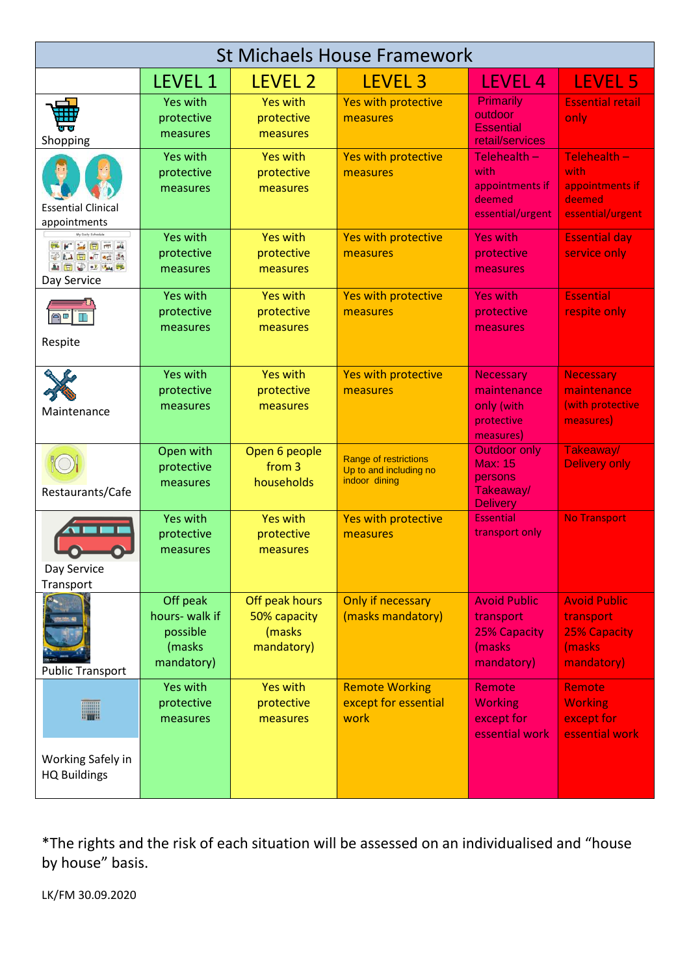| <b>St Michaels House Framework</b>                                                                                                        |                                                                |                                                        |                                                                         |                                                                                  |                                                                          |  |  |  |
|-------------------------------------------------------------------------------------------------------------------------------------------|----------------------------------------------------------------|--------------------------------------------------------|-------------------------------------------------------------------------|----------------------------------------------------------------------------------|--------------------------------------------------------------------------|--|--|--|
|                                                                                                                                           | <b>LEVEL 1</b>                                                 | LEVEL 2                                                | LEVEL <sub>3</sub>                                                      | LEVEL 4                                                                          | LEVEL 5                                                                  |  |  |  |
| Shopping                                                                                                                                  | <b>Yes with</b><br>protective<br>measures                      | <b>Yes with</b><br>protective<br>measures              | Yes with protective<br>measures                                         | Primarily<br>outdoor<br><b>Essential</b><br>retail/services                      | <b>Essential retail</b><br>only                                          |  |  |  |
| <b>Essential Clinical</b><br>appointments                                                                                                 | <b>Yes with</b><br>protective<br>measures                      | <b>Yes with</b><br>protective<br>measures              | <b>Yes with protective</b><br>measures                                  | Telehealth $-$<br>with<br>appointments if<br>deemed<br>essential/urgent          | Telehealth -<br>with.<br>appointments if<br>deemed<br>essential/urgent   |  |  |  |
| My Daily Schedule<br>第五日前版<br><b>DAID JUST</b><br><b>All <math>\boxed{1}</math></b> $\boxed{0}$ of $\boxed{1}$ $\boxed{1}$<br>Day Service | <b>Yes with</b><br>protective<br>measures                      | <b>Yes with</b><br>protective<br>measures              | <b>Yes with protective</b><br>measures                                  | <b>Yes with</b><br>protective<br>measures                                        | <b>Essential day</b><br>service only                                     |  |  |  |
| 向田<br>Respite                                                                                                                             | <b>Yes with</b><br>protective<br>measures                      | <b>Yes with</b><br>protective<br>measures              | <b>Yes with protective</b><br>measures                                  | <b>Yes with</b><br>protective<br>measures                                        | <b>Essential</b><br>respite only                                         |  |  |  |
| Maintenance                                                                                                                               | <b>Yes with</b><br>protective<br>measures                      | <b>Yes with</b><br>protective<br>measures              | Yes with protective<br>measures                                         | <b>Necessary</b><br>maintenance<br>only (with<br>protective<br>measures)         | <b>Necessary</b><br>maintenance<br>(with protective<br>measures)         |  |  |  |
| Restaurants/Cafe                                                                                                                          | Open with<br>protective<br>measures                            | Open 6 people<br>from 3<br>households                  | <b>Range of restrictions</b><br>Up to and including no<br>indoor dining | <b>Outdoor only</b><br><b>Max: 15</b><br>persons<br>Takeaway/<br><b>Delivery</b> | Takeaway/<br><b>Delivery only</b>                                        |  |  |  |
| Day Service<br>Transport                                                                                                                  | <b>Yes with</b><br>protective<br>measures                      | <b>Yes with</b><br>protective<br>measures              | Yes with protective<br>measures                                         | <b>Essential</b><br>transport only                                               | <b>No Transport</b>                                                      |  |  |  |
| <b>Public Transport</b>                                                                                                                   | Off peak<br>hours- walk if<br>possible<br>(masks<br>mandatory) | Off peak hours<br>50% capacity<br>(masks<br>mandatory) | Only if necessary<br>(masks mandatory)                                  | <b>Avoid Public</b><br>transport<br>25% Capacity<br>(masks<br>mandatory)         | <b>Avoid Public</b><br>transport<br>25% Capacity<br>(masks<br>mandatory) |  |  |  |
| W<br>Working Safely in                                                                                                                    | Yes with<br>protective<br>measures                             | <b>Yes with</b><br>protective<br>measures              | <b>Remote Working</b><br>except for essential<br>work                   | Remote<br><b>Working</b><br>except for<br>essential work                         | Remote<br><b>Working</b><br>except for<br>essential work                 |  |  |  |
| <b>HQ Buildings</b>                                                                                                                       |                                                                |                                                        |                                                                         |                                                                                  |                                                                          |  |  |  |

\*The rights and the risk of each situation will be assessed on an individualised and "house by house" basis.

LK/FM 30.09.2020